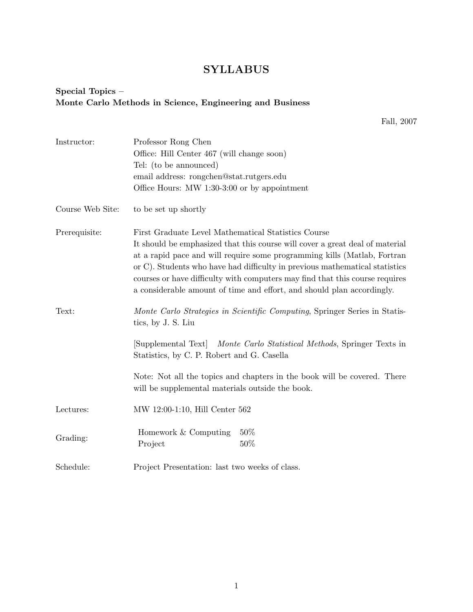## SYLLABUS

## Special Topics – Monte Carlo Methods in Science, Engineering and Business

Fall, 2007

| Instructor:      | Professor Rong Chen                                                                                                                                                                                                                                                                                                                                                                               |
|------------------|---------------------------------------------------------------------------------------------------------------------------------------------------------------------------------------------------------------------------------------------------------------------------------------------------------------------------------------------------------------------------------------------------|
|                  | Office: Hill Center 467 (will change soon)                                                                                                                                                                                                                                                                                                                                                        |
|                  | Tel: (to be announced)                                                                                                                                                                                                                                                                                                                                                                            |
|                  | email address: rongchen@stat.rutgers.edu                                                                                                                                                                                                                                                                                                                                                          |
|                  | Office Hours: MW 1:30-3:00 or by appointment                                                                                                                                                                                                                                                                                                                                                      |
| Course Web Site: | to be set up shortly                                                                                                                                                                                                                                                                                                                                                                              |
| Prerequisite:    | First Graduate Level Mathematical Statistics Course                                                                                                                                                                                                                                                                                                                                               |
|                  | It should be emphasized that this course will cover a great deal of material<br>at a rapid pace and will require some programming kills (Matlab, Fortran<br>or C). Students who have had difficulty in previous mathematical statistics<br>courses or have difficulty with computers may find that this course requires<br>a considerable amount of time and effort, and should plan accordingly. |
| Text:            | Monte Carlo Strategies in Scientific Computing, Springer Series in Statis-<br>tics, by J. S. Liu                                                                                                                                                                                                                                                                                                  |
|                  | [Supplemental Text]<br><i>Monte Carlo Statistical Methods, Springer Texts in</i><br>Statistics, by C. P. Robert and G. Casella                                                                                                                                                                                                                                                                    |
|                  | Note: Not all the topics and chapters in the book will be covered. There<br>will be supplemental materials outside the book.                                                                                                                                                                                                                                                                      |
| Lectures:        | MW 12:00-1:10, Hill Center 562                                                                                                                                                                                                                                                                                                                                                                    |
| Grading:         | 50%<br>Homework & Computing<br>50%<br>Project                                                                                                                                                                                                                                                                                                                                                     |
| Schedule:        | Project Presentation: last two weeks of class.                                                                                                                                                                                                                                                                                                                                                    |